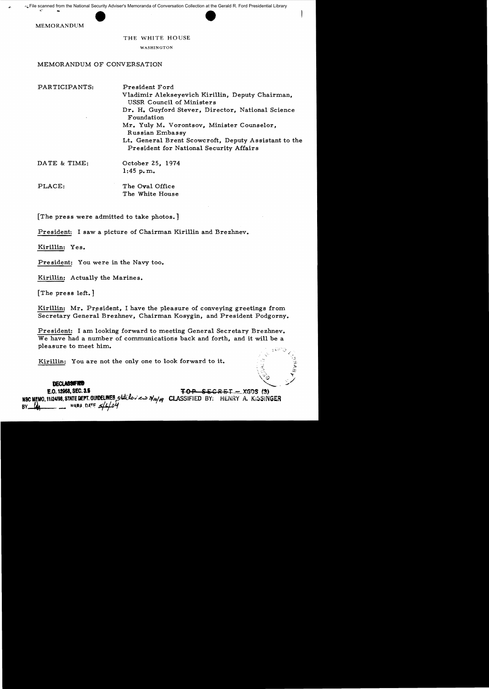MEMORANDUM

## THE WHITE HOUSE

## WASHINGTON

## MEMORANDUM OF CONVERSATION

| PARTICIPANTS: | President Ford                                                                                  |
|---------------|-------------------------------------------------------------------------------------------------|
|               | Vladimir Alekseyevich Kirillin, Deputy Chairman,<br>USSR Council of Ministers                   |
|               | Dr. H. Guyford Stever, Director, National Science<br>Foundation                                 |
|               | Mr. Yuly M. Vorontsov, Minister Counselor,<br>Russian Embassy                                   |
|               | Lt. General Brent Scowcroft, Deputy Assistant to the<br>President for National Security Affairs |
| DATE & TIME:  | October 25, 1974                                                                                |
|               | 1:45 p.m.                                                                                       |
| -----         | $-1$                                                                                            |

PLACE: The Oval Office The White House

[The press were admitted to take photos. ]

President: I saw a picture of Chairman Kirillin and Brezhnev.

Kirillin: Yes.

President: You were in the Navy too.

Kirillin: Actually the Marines.

[The press left.]

Kirillin: Mr. President, I have the pleasure of conveying greetings from Secretary General Brezhnev, Chairman Kosygin, and President Podgorny.

President: I am looking forward to meeting General Secretary Brezhnev. We have had a number of communications back and forth, and it will be a pleasure to meet him.

> ~ *i\_*  $\mathbf{v} = \mathbf{v}$

Kirillin: You are not the only one to look forward to it.

 $\mathbf{DECLAS3}$ E.O. 12958, SEC. 3.5  $\overline{TOP\_SECRET} = XGDS(3)$ NIC MEMO, 11/24198, STATE DEPT. GUIDELINES, STATES: حدث كالمركز CLASSIFIED BY: HENRY A. KISSINGER BARA DATE 5/6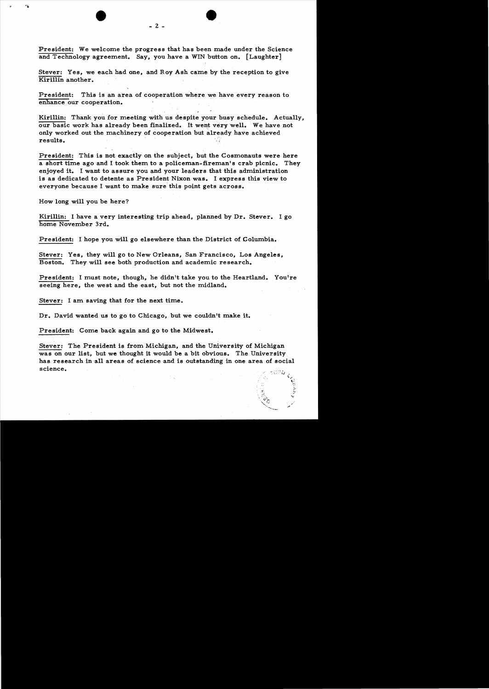President: We welcome the progress that has been made under the Science and Technology agreement. Say, you have a WIN button on. [Laughter]

Stever: Yes, we each had one, and Roy Ash came by the reception to give Kirillin another.

President: This is an area of cooperation where we have every reason to enhance our cooperation. .

Kirillin: Thank you for meeting with us despite your busy schedule. Actually. our basic work has already been finalized. It went very well. We have not only worked out the machinery of cooperation but already have achieved  ${\bf results.}$ 

President: This is not exactly on the subject, but the Cosmonauts were here a short time ago and I took them to a policeman-fireman's crab picnic. They enjoyed it. I want to assure you and your leaders that this administration is as dedicated to detente as President Nixon was. I express this view to everyone because I want to make sure this point gets across.

How long will you be here?

Kirillin: I have a very interesting trip ahead, planned by Dr. Stever. I go home November 3rd.

President: I hope you will go elsewhere than the District of Columbia.

Stever: Yes, they will go to New Orleans, San Francisco, Los Angeles, Boston. They will see both production and academic research.

President: I must note, though, he didn't take you to the Heartland. You're seeing here, the west and the east, but not the midland.

Stever: I am saving that for the next time.

Dr. David wanted us to go to Chicago, but we couldn't make it.

President: Come back again and go to the Midwest.

Stever: The President is from Michigan, and the University of Michigan was on our list, but we thought it would be a bit obvious. The University has research in-all areas of science and is outstanding in one area of social science. The contract of  $\mathcal{L}^{\text{max}}$  is the contract of  $\mathcal{L}^{\text{max}}$  is the contract of  $\mathcal{L}^{\text{max}}$  is the contract of  $\mathcal{L}^{\text{max}}$  is the contract of  $\mathcal{L}^{\text{max}}$  is the contract of  $\mathcal{L}^{\text{max}}$  is the cont

'-.  $\mathbf{c}$ : .' )~ ,:'1'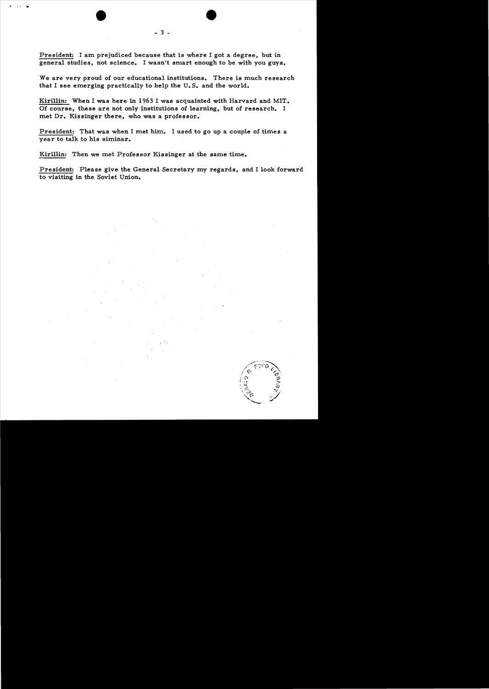President: I am prejudiced because that is where I got a degree, but in general studies, not science. I wasn't smart enough to be with you guys.

We are very proud of our educational institutions. There is much research that I see emerging practically to help the U. S. and the world.

Kirillin: When I was here in 1963 I was acquainted with Harvard and MIT. Of course, these are not only institutions of learning, but of research. I met Dr. Kissinger there, who was a professor.

President: That was when I met him. I used to go up a couple of times a year to talk to his siminar.

Kirillin: Then we met Professor Kissinger at the same time.

President: Please give the General Secretary my regards, and I look forward to visiting in the Soviet Union.

 $\mathcal{O} \subset \mathcal{O}$ 



 $-3 -$ 

•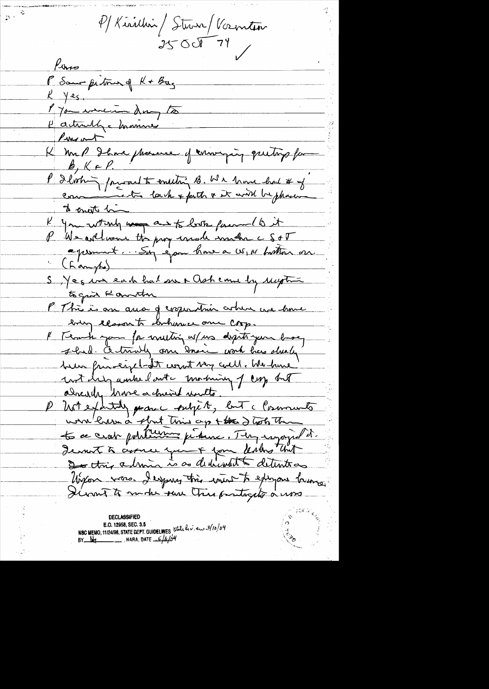P/Kirillin/Sturn/Vocentier  $25000779$ 

 $\sum_{i=1}^{n} \frac{1}{n_i} \sum_{i=1}^{n} \frac{1}{n_i} \sum_{i=1}^{n} \frac{1}{n_i} \sum_{i=1}^{n} \frac{1}{n_i} \sum_{i=1}^{n} \frac{1}{n_i} \sum_{i=1}^{n} \frac{1}{n_i} \sum_{i=1}^{n} \frac{1}{n_i} \sum_{i=1}^{n} \frac{1}{n_i} \sum_{i=1}^{n} \frac{1}{n_i} \sum_{i=1}^{n} \frac{1}{n_i} \sum_{i=1}^{n} \frac{1}{n_i} \sum_{i=1}^{n} \frac{1}{n_i} \sum_{i$ 

Poro P Same petrus of K + Bay  $k$  yes. 1 you working to Hactually = manus Parent K mal Ibra phoneuse of conveying quiting for  $\beta, K \in \ell$ . P Ilvohing parad to entiting B. We have had # of to enest him K you what way and to look facement to it (L'ampte) S Jeg in each had one + Osh came by Mythia to gain Kommton P This is an aua of corporation arbum we have every class to lenhamer one corp. I Teach you for muting w/ us depite your base, shad. Entrany one saint work has slunky been frivaly et won't very cull. We have and help ambel out - morning of corps but already have a chieved units. P Untextitily parane pubjet, but a Community work have a short this ap + the 2 took The te ce crat politicisme présenc. Tempogrape et Jeanst à circu qui + jour Unit Unit Ungen vars. I expres this wint to exigen humo. Diront to mode ture this protogets a was

**DECLASSIFIED** E.O. 12958, SEC. 3.5 NSC MEMO, 11/24/98, STATE DEPT. GUIDELINES 5tate her en 3/10/04 BY  $\frac{N}{2}$  NARA, DATE  $\frac{2}{\sqrt{N}}$